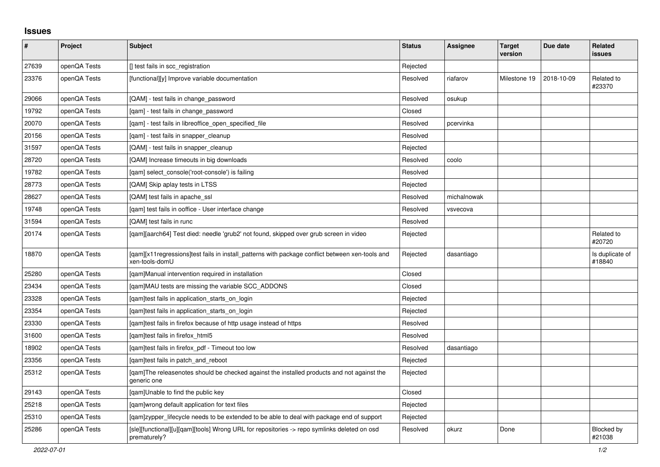## **Issues**

| #     | Project      | <b>Subject</b>                                                                                                     | <b>Status</b> | Assignee    | <b>Target</b><br>version | Due date   | <b>Related</b><br>issues    |
|-------|--------------|--------------------------------------------------------------------------------------------------------------------|---------------|-------------|--------------------------|------------|-----------------------------|
| 27639 | openQA Tests | [] test fails in scc_registration                                                                                  | Rejected      |             |                          |            |                             |
| 23376 | openQA Tests | [functional][y] Improve variable documentation                                                                     | Resolved      | riafarov    | Milestone 19             | 2018-10-09 | Related to<br>#23370        |
| 29066 | openQA Tests | [QAM] - test fails in change password                                                                              | Resolved      | osukup      |                          |            |                             |
| 19792 | openQA Tests | [qam] - test fails in change_password                                                                              | Closed        |             |                          |            |                             |
| 20070 | openQA Tests | [qam] - test fails in libreoffice_open_specified_file                                                              | Resolved      | pcervinka   |                          |            |                             |
| 20156 | openQA Tests | [gam] - test fails in snapper cleanup                                                                              | Resolved      |             |                          |            |                             |
| 31597 | openQA Tests | [QAM] - test fails in snapper_cleanup                                                                              | Rejected      |             |                          |            |                             |
| 28720 | openQA Tests | [QAM] Increase timeouts in big downloads                                                                           | Resolved      | coolo       |                          |            |                             |
| 19782 | openQA Tests | [gam] select console('root-console') is failing                                                                    | Resolved      |             |                          |            |                             |
| 28773 | openQA Tests | [QAM] Skip aplay tests in LTSS                                                                                     | Rejected      |             |                          |            |                             |
| 28627 | openQA Tests | [QAM] test fails in apache_ssl                                                                                     | Resolved      | michalnowak |                          |            |                             |
| 19748 | openQA Tests | [qam] test fails in ooffice - User interface change                                                                | Resolved      | vsvecova    |                          |            |                             |
| 31594 | openQA Tests | [QAM] test fails in runc                                                                                           | Resolved      |             |                          |            |                             |
| 20174 | openQA Tests | [gam][aarch64] Test died: needle 'grub2' not found, skipped over grub screen in video                              | Rejected      |             |                          |            | Related to<br>#20720        |
| 18870 | openQA Tests | [gam][x11 regressions]test fails in install patterns with package conflict between xen-tools and<br>xen-tools-domU | Rejected      | dasantiago  |                          |            | Is duplicate of<br>#18840   |
| 25280 | openQA Tests | [qam]Manual intervention required in installation                                                                  | Closed        |             |                          |            |                             |
| 23434 | openQA Tests | [qam]MAU tests are missing the variable SCC_ADDONS                                                                 | Closed        |             |                          |            |                             |
| 23328 | openQA Tests | [qam]test fails in application_starts_on_login                                                                     | Rejected      |             |                          |            |                             |
| 23354 | openQA Tests | [gam]test fails in application starts on login                                                                     | Rejected      |             |                          |            |                             |
| 23330 | openQA Tests | [gam]test fails in firefox because of http usage instead of https                                                  | Resolved      |             |                          |            |                             |
| 31600 | openQA Tests | [gam]test fails in firefox html5                                                                                   | Resolved      |             |                          |            |                             |
| 18902 | openQA Tests | [qam]test fails in firefox_pdf - Timeout too low                                                                   | Resolved      | dasantiago  |                          |            |                             |
| 23356 | openQA Tests | [qam]test fails in patch_and_reboot                                                                                | Rejected      |             |                          |            |                             |
| 25312 | openQA Tests | [qam]The releasenotes should be checked against the installed products and not against the<br>generic one          | Rejected      |             |                          |            |                             |
| 29143 | openQA Tests | [gam]Unable to find the public key                                                                                 | Closed        |             |                          |            |                             |
| 25218 | openQA Tests | [gam]wrong default application for text files                                                                      | Rejected      |             |                          |            |                             |
| 25310 | openQA Tests | [qam]zypper_lifecycle needs to be extended to be able to deal with package end of support                          | Rejected      |             |                          |            |                             |
| 25286 | openQA Tests | [sle][functional][u][qam][tools] Wrong URL for repositories -> repo symlinks deleted on osd<br>prematurely?        | Resolved      | okurz       | Done                     |            | <b>Blocked by</b><br>#21038 |